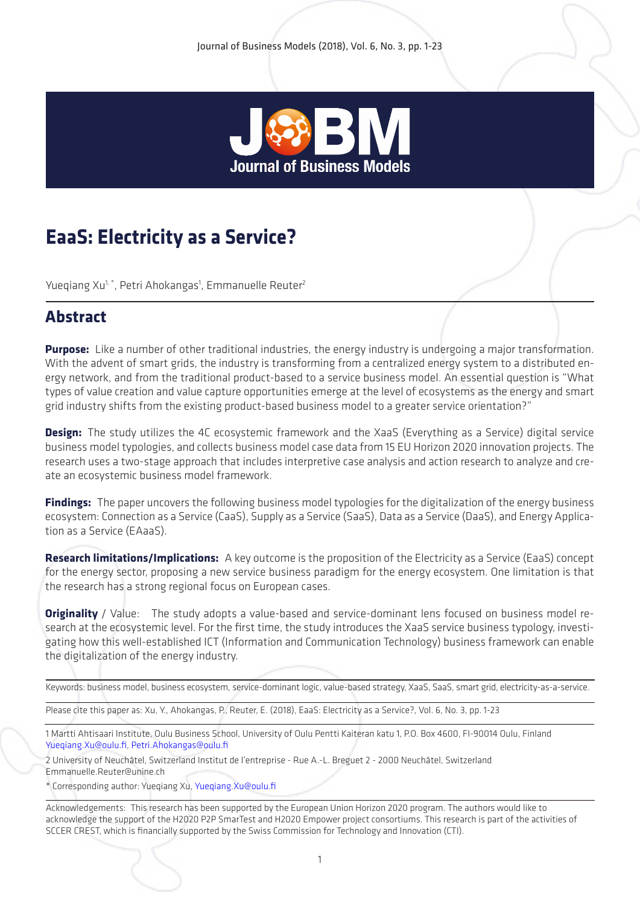

# **EaaS: Electricity as a Service?**

Yueqiang Xu<sup>1, \*</sup>, Petri Ahokangas<sup>1</sup>, Emmanuelle Reuter<sup>2</sup>

# **Abstract**

**Purpose:** Like a number of other traditional industries, the energy industry is undergoing a major transformation. With the advent of smart grids, the industry is transforming from a centralized energy system to a distributed energy network, and from the traditional product-based to a service business model. An essential question is "What types of value creation and value capture opportunities emerge at the level of ecosystems as the energy and smart grid industry shifts from the existing product-based business model to a greater service orientation?"

**Design:** The study utilizes the 4C ecosystemic framework and the XaaS (Everything as a Service) digital service business model typologies, and collects business model case data from 15 EU Horizon 2020 innovation projects. The research uses a two-stage approach that includes interpretive case analysis and action research to analyze and create an ecosystemic business model framework.

**Findings:** The paper uncovers the following business model typologies for the digitalization of the energy business ecosystem: Connection as a Service (CaaS), Supply as a Service (SaaS), Data as a Service (DaaS), and Energy Application as a Service (EAaaS).

**Research limitations/Implications:** A key outcome is the proposition of the Electricity as a Service (EaaS) concept for the energy sector, proposing a new service business paradigm for the energy ecosystem. One limitation is that the research has a strong regional focus on European cases.

**Originality** / Value: The study adopts a value-based and service-dominant lens focused on business model research at the ecosystemic level. For the first time, the study introduces the XaaS service business typology, investigating how this well-established ICT (Information and Communication Technology) business framework can enable the digitalization of the energy industry.

```
Keywords: business model, business ecosystem, service-dominant logic, value-based strategy, XaaS, SaaS, smart grid, electricity-as-a-service.
```
Please cite this paper as: Xu, Y., Ahokangas, P., Reuter, E. (2018), EaaS: Electricity as a Service?, Vol. 6, No. 3, pp. 1-23

1 Martti Ahtisaari Institute, Oulu Business School, University of Oulu Pentti Kaiteran katu 1, P.O. Box 4600, FI-90014 Oulu, Finland Yueqiang.Xu@oulu.fi, Petri.Ahokangas@oulu.fi

2 University of Neuchâtel, Switzerland Institut de l'entreprise - Rue A.-L. Breguet 2 - 2000 Neuchâtel, Switzerland Emmanuelle.Reuter@unine.ch

\* Corresponding author: Yueqiang Xu, Yueqiang.Xu@oulu.fi

Acknowledgements: This research has been supported by the European Union Horizon 2020 program. The authors would like to acknowledge the support of the H2020 P2P SmarTest and H2020 Empower project consortiums. This research is part of the activities of SCCER CREST, which is financially supported by the Swiss Commission for Technology and Innovation (CTI).

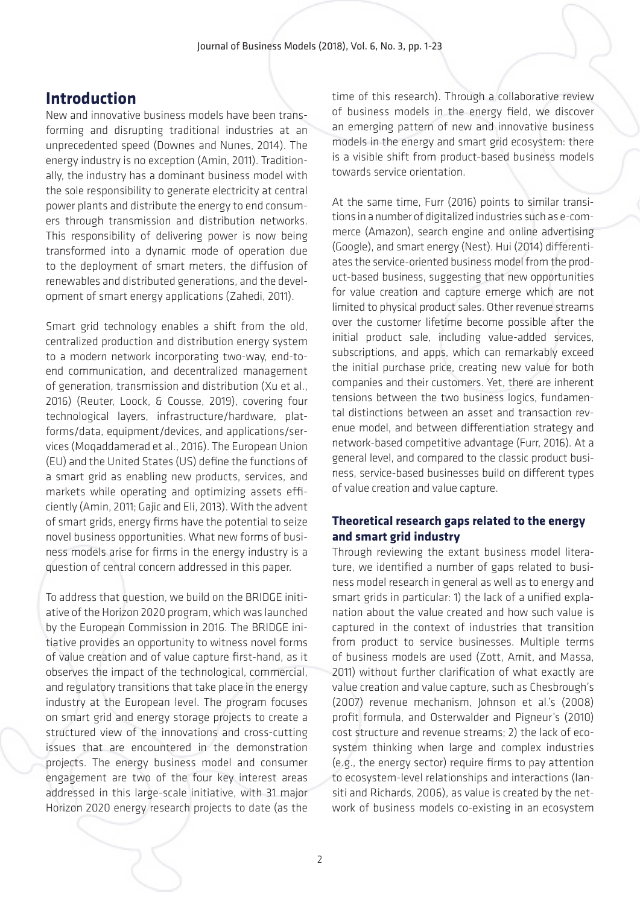### **Introduction**

New and innovative business models have been transforming and disrupting traditional industries at an unprecedented speed (Downes and Nunes, 2014). The energy industry is no exception (Amin, 2011). Traditionally, the industry has a dominant business model with the sole responsibility to generate electricity at central power plants and distribute the energy to end consumers through transmission and distribution networks. This responsibility of delivering power is now being transformed into a dynamic mode of operation due to the deployment of smart meters, the diffusion of renewables and distributed generations, and the development of smart energy applications (Zahedi, 2011).

Smart grid technology enables a shift from the old, centralized production and distribution energy system to a modern network incorporating two-way, end-toend communication, and decentralized management of generation, transmission and distribution (Xu et al., 2016) (Reuter, Loock, & Cousse, 2019), covering four technological layers, infrastructure/hardware, platforms/data, equipment/devices, and applications/services (Moqaddamerad et al., 2016). The European Union (EU) and the United States (US) define the functions of a smart grid as enabling new products, services, and markets while operating and optimizing assets efficiently (Amin, 2011; Gajic and Eli, 2013). With the advent of smart grids, energy firms have the potential to seize novel business opportunities. What new forms of business models arise for firms in the energy industry is a question of central concern addressed in this paper.

To address that question, we build on the BRIDGE initiative of the Horizon 2020 program, which was launched by the European Commission in 2016. The BRIDGE initiative provides an opportunity to witness novel forms of value creation and of value capture first-hand, as it observes the impact of the technological, commercial, and regulatory transitions that take place in the energy industry at the European level. The program focuses on smart grid and energy storage projects to create a structured view of the innovations and cross-cutting issues that are encountered in the demonstration projects. The energy business model and consumer engagement are two of the four key interest areas addressed in this large-scale initiative, with 31 major Horizon 2020 energy research projects to date (as the time of this research). Through a collaborative review of business models in the energy field, we discover an emerging pattern of new and innovative business models in the energy and smart grid ecosystem: there is a visible shift from product-based business models towards service orientation.

At the same time, Furr (2016) points to similar transitions in a number of digitalized industries such as e-commerce (Amazon), search engine and online advertising (Google), and smart energy (Nest). Hui (2014) differentiates the service-oriented business model from the product-based business, suggesting that new opportunities for value creation and capture emerge which are not limited to physical product sales. Other revenue streams over the customer lifetime become possible after the initial product sale, including value-added services, subscriptions, and apps, which can remarkably exceed the initial purchase price, creating new value for both companies and their customers. Yet, there are inherent tensions between the two business logics, fundamental distinctions between an asset and transaction revenue model, and between differentiation strategy and network-based competitive advantage (Furr, 2016). At a general level, and compared to the classic product business, service-based businesses build on different types of value creation and value capture.

### **Theoretical research gaps related to the energy and smart grid industry**

Through reviewing the extant business model literature, we identified a number of gaps related to business model research in general as well as to energy and smart grids in particular: 1) the lack of a unified explanation about the value created and how such value is captured in the context of industries that transition from product to service businesses. Multiple terms of business models are used (Zott, Amit, and Massa, 2011) without further clarification of what exactly are value creation and value capture, such as Chesbrough's (2007) revenue mechanism, Johnson et al.'s (2008) profit formula, and Osterwalder and Pigneur's (2010) cost structure and revenue streams; 2) the lack of ecosystem thinking when large and complex industries (e.g., the energy sector) require firms to pay attention to ecosystem-level relationships and interactions (Iansiti and Richards, 2006), as value is created by the network of business models co-existing in an ecosystem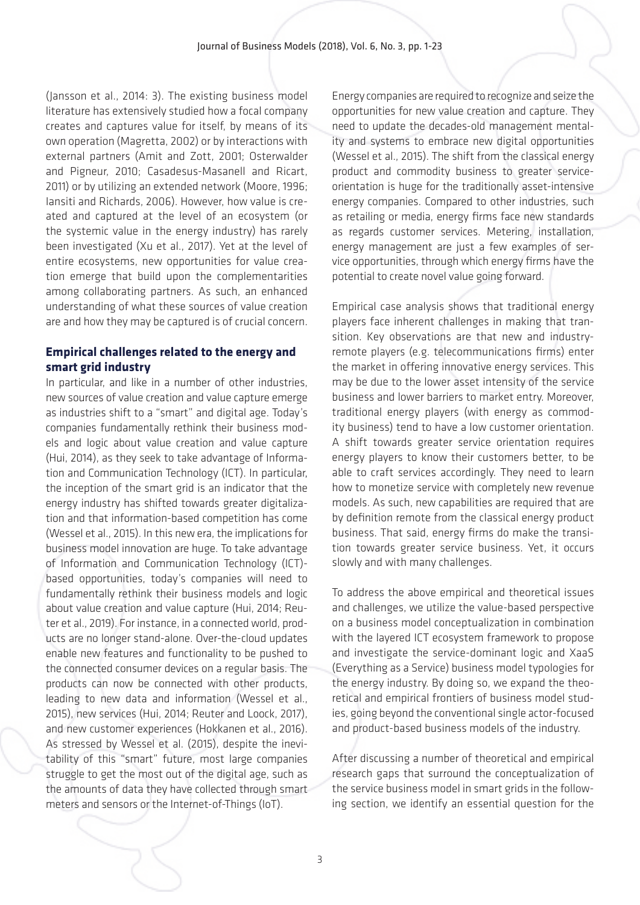(Jansson et al., 2014: 3). The existing business model literature has extensively studied how a focal company creates and captures value for itself, by means of its own operation (Magretta, 2002) or by interactions with external partners (Amit and Zott, 2001; Osterwalder and Pigneur, 2010; Casadesus-Masanell and Ricart, 2011) or by utilizing an extended network (Moore, 1996; Iansiti and Richards, 2006). However, how value is created and captured at the level of an ecosystem (or the systemic value in the energy industry) has rarely been investigated (Xu et al., 2017). Yet at the level of entire ecosystems, new opportunities for value creation emerge that build upon the complementarities among collaborating partners. As such, an enhanced understanding of what these sources of value creation are and how they may be captured is of crucial concern.

### **Empirical challenges related to the energy and smart grid industry**

In particular, and like in a number of other industries, new sources of value creation and value capture emerge as industries shift to a "smart" and digital age. Today's companies fundamentally rethink their business models and logic about value creation and value capture (Hui, 2014), as they seek to take advantage of Information and Communication Technology (ICT). In particular, the inception of the smart grid is an indicator that the energy industry has shifted towards greater digitalization and that information-based competition has come (Wessel et al., 2015). In this new era, the implications for business model innovation are huge. To take advantage of Information and Communication Technology (ICT) based opportunities, today's companies will need to fundamentally rethink their business models and logic about value creation and value capture (Hui, 2014; Reuter et al., 2019). For instance, in a connected world, products are no longer stand-alone. Over-the-cloud updates enable new features and functionality to be pushed to the connected consumer devices on a regular basis. The products can now be connected with other products, leading to new data and information (Wessel et al., 2015), new services (Hui, 2014; Reuter and Loock, 2017), and new customer experiences (Hokkanen et al., 2016). As stressed by Wessel et al. (2015), despite the inevitability of this "smart" future, most large companies struggle to get the most out of the digital age, such as the amounts of data they have collected through smart meters and sensors or the Internet-of-Things (IoT).

Energy companies are required to recognize and seize the opportunities for new value creation and capture. They need to update the decades-old management mentality and systems to embrace new digital opportunities (Wessel et al., 2015). The shift from the classical energy product and commodity business to greater serviceorientation is huge for the traditionally asset-intensive energy companies. Compared to other industries, such as retailing or media, energy firms face new standards as regards customer services. Metering, installation, energy management are just a few examples of service opportunities, through which energy firms have the potential to create novel value going forward.

Empirical case analysis shows that traditional energy players face inherent challenges in making that transition. Key observations are that new and industryremote players (e.g. telecommunications firms) enter the market in offering innovative energy services. This may be due to the lower asset intensity of the service business and lower barriers to market entry. Moreover, traditional energy players (with energy as commodity business) tend to have a low customer orientation. A shift towards greater service orientation requires energy players to know their customers better, to be able to craft services accordingly. They need to learn how to monetize service with completely new revenue models. As such, new capabilities are required that are by definition remote from the classical energy product business. That said, energy firms do make the transition towards greater service business. Yet, it occurs slowly and with many challenges.

To address the above empirical and theoretical issues and challenges, we utilize the value-based perspective on a business model conceptualization in combination with the layered ICT ecosystem framework to propose and investigate the service-dominant logic and XaaS (Everything as a Service) business model typologies for the energy industry. By doing so, we expand the theoretical and empirical frontiers of business model studies, going beyond the conventional single actor-focused and product-based business models of the industry.

After discussing a number of theoretical and empirical research gaps that surround the conceptualization of the service business model in smart grids in the following section, we identify an essential question for the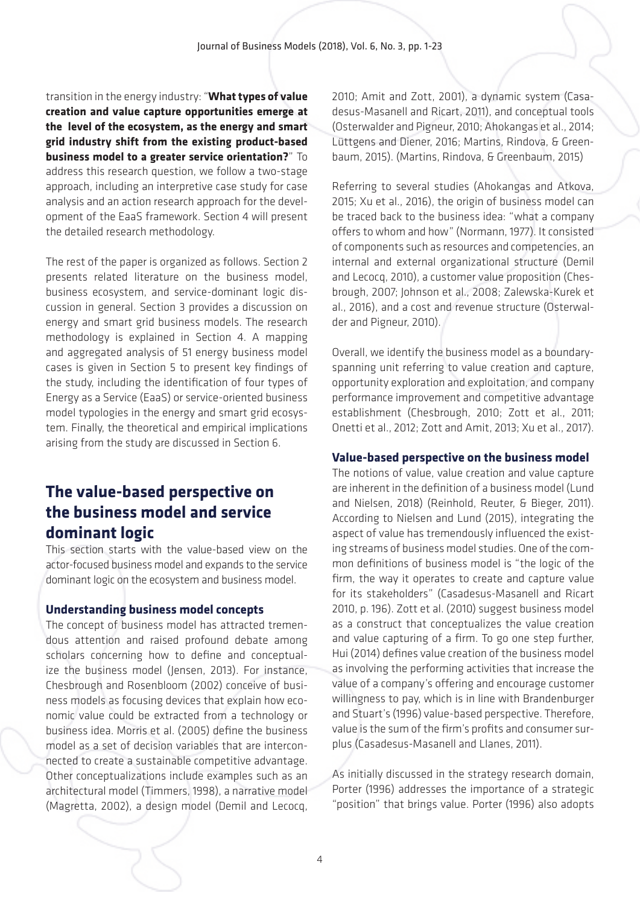transition in the energy industry: "**What types of value creation and value capture opportunities emerge at the level of the ecosystem, as the energy and smart grid industry shift from the existing product-based business model to a greater service orientation?**" To address this research question, we follow a two-stage approach, including an interpretive case study for case analysis and an action research approach for the development of the EaaS framework. Section 4 will present the detailed research methodology.

The rest of the paper is organized as follows. Section 2 presents related literature on the business model, business ecosystem, and service-dominant logic discussion in general. Section 3 provides a discussion on energy and smart grid business models. The research methodology is explained in Section 4. A mapping and aggregated analysis of 51 energy business model cases is given in Section 5 to present key findings of the study, including the identification of four types of Energy as a Service (EaaS) or service-oriented business model typologies in the energy and smart grid ecosystem. Finally, the theoretical and empirical implications arising from the study are discussed in Section 6.

# **The value-based perspective on the business model and service dominant logic**

This section starts with the value-based view on the actor-focused business model and expands to the service dominant logic on the ecosystem and business model.

#### **Understanding business model concepts**

The concept of business model has attracted tremendous attention and raised profound debate among scholars concerning how to define and conceptualize the business model (Jensen, 2013). For instance, Chesbrough and Rosenbloom (2002) conceive of business models as focusing devices that explain how economic value could be extracted from a technology or business idea. Morris et al. (2005) define the business model as a set of decision variables that are interconnected to create a sustainable competitive advantage. Other conceptualizations include examples such as an architectural model (Timmers, 1998), a narrative model (Magretta, 2002), a design model (Demil and Lecocq, 2010; Amit and Zott, 2001), a dynamic system (Casadesus-Masanell and Ricart, 2011), and conceptual tools (Osterwalder and Pigneur, 2010; Ahokangas et al., 2014; Lüttgens and Diener, 2016; Martins, Rindova, & Greenbaum, 2015). (Martins, Rindova, & Greenbaum, 2015)

Referring to several studies (Ahokangas and Atkova, 2015; Xu et al., 2016), the origin of business model can be traced back to the business idea: "what a company offers to whom and how" (Normann, 1977). It consisted of components such as resources and competencies, an internal and external organizational structure (Demil and Lecocq, 2010), a customer value proposition (Chesbrough, 2007; Johnson et al., 2008; Zalewska-Kurek et al., 2016), and a cost and revenue structure (Osterwalder and Pigneur, 2010).

Overall, we identify the business model as a boundaryspanning unit referring to value creation and capture, opportunity exploration and exploitation, and company performance improvement and competitive advantage establishment (Chesbrough, 2010; Zott et al., 2011; Onetti et al., 2012; Zott and Amit, 2013; Xu et al., 2017).

#### **Value-based perspective on the business model**

The notions of value, value creation and value capture are inherent in the definition of a business model (Lund and Nielsen, 2018) (Reinhold, Reuter, & Bieger, 2011). According to Nielsen and Lund (2015), integrating the aspect of value has tremendously influenced the existing streams of business model studies. One of the common definitions of business model is "the logic of the firm, the way it operates to create and capture value for its stakeholders" (Casadesus-Masanell and Ricart 2010, p. 196). Zott et al. (2010) suggest business model as a construct that conceptualizes the value creation and value capturing of a firm. To go one step further, Hui (2014) defines value creation of the business model as involving the performing activities that increase the value of a company's offering and encourage customer willingness to pay, which is in line with Brandenburger and Stuart's (1996) value-based perspective. Therefore, value is the sum of the firm's profits and consumer surplus (Casadesus-Masanell and Llanes, 2011).

As initially discussed in the strategy research domain, Porter (1996) addresses the importance of a strategic "position" that brings value. Porter (1996) also adopts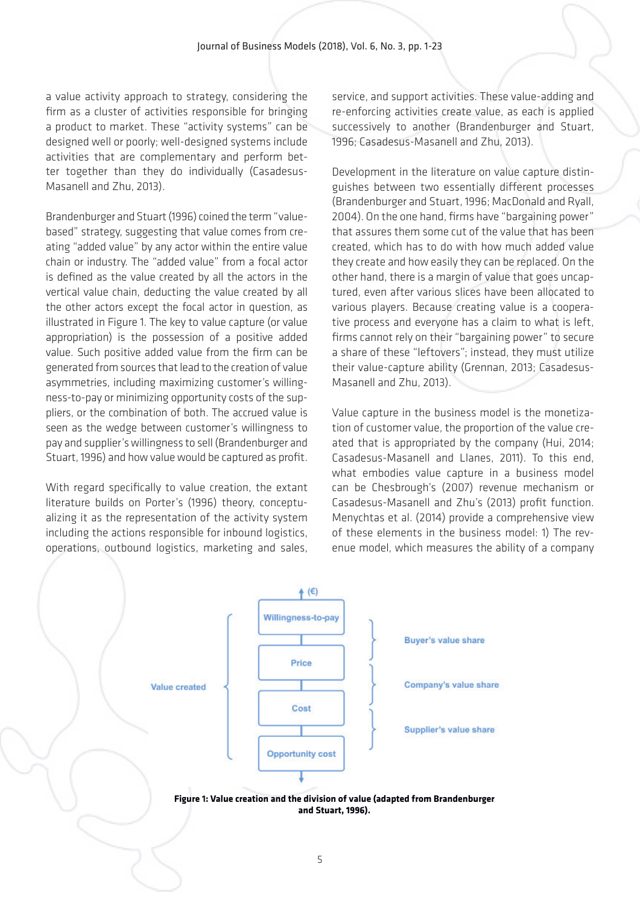a value activity approach to strategy, considering the firm as a cluster of activities responsible for bringing a product to market. These "activity systems" can be designed well or poorly; well-designed systems include activities that are complementary and perform better together than they do individually (Casadesus-Masanell and Zhu, 2013).

Brandenburger and Stuart (1996) coined the term "valuebased" strategy, suggesting that value comes from creating "added value" by any actor within the entire value chain or industry. The "added value" from a focal actor is defined as the value created by all the actors in the vertical value chain, deducting the value created by all the other actors except the focal actor in question, as illustrated in Figure 1. The key to value capture (or value appropriation) is the possession of a positive added value. Such positive added value from the firm can be generated from sources that lead to the creation of value asymmetries, including maximizing customer's willingness-to-pay or minimizing opportunity costs of the suppliers, or the combination of both. The accrued value is seen as the wedge between customer's willingness to pay and supplier's willingness to sell (Brandenburger and Stuart, 1996) and how value would be captured as profit.

With regard specifically to value creation, the extant literature builds on Porter's (1996) theory, conceptualizing it as the representation of the activity system including the actions responsible for inbound logistics, operations, outbound logistics, marketing and sales,

service, and support activities. These value-adding and re-enforcing activities create value, as each is applied successively to another (Brandenburger and Stuart, 1996; Casadesus-Masanell and Zhu, 2013).

Development in the literature on value capture distinguishes between two essentially different processes (Brandenburger and Stuart, 1996; MacDonald and Ryall, 2004). On the one hand, firms have "bargaining power" that assures them some cut of the value that has been created, which has to do with how much added value they create and how easily they can be replaced. On the other hand, there is a margin of value that goes uncaptured, even after various slices have been allocated to various players. Because creating value is a cooperative process and everyone has a claim to what is left, firms cannot rely on their "bargaining power" to secure a share of these "leftovers"; instead, they must utilize their value-capture ability (Grennan, 2013; Casadesus-Masanell and Zhu, 2013).

Value capture in the business model is the monetization of customer value, the proportion of the value created that is appropriated by the company (Hui, 2014; Casadesus-Masanell and Llanes, 2011). To this end, what embodies value capture in a business model can be Chesbrough's (2007) revenue mechanism or Casadesus-Masanell and Zhu's (2013) profit function. Menychtas et al. (2014) provide a comprehensive view of these elements in the business model: 1) The revenue model, which measures the ability of a company

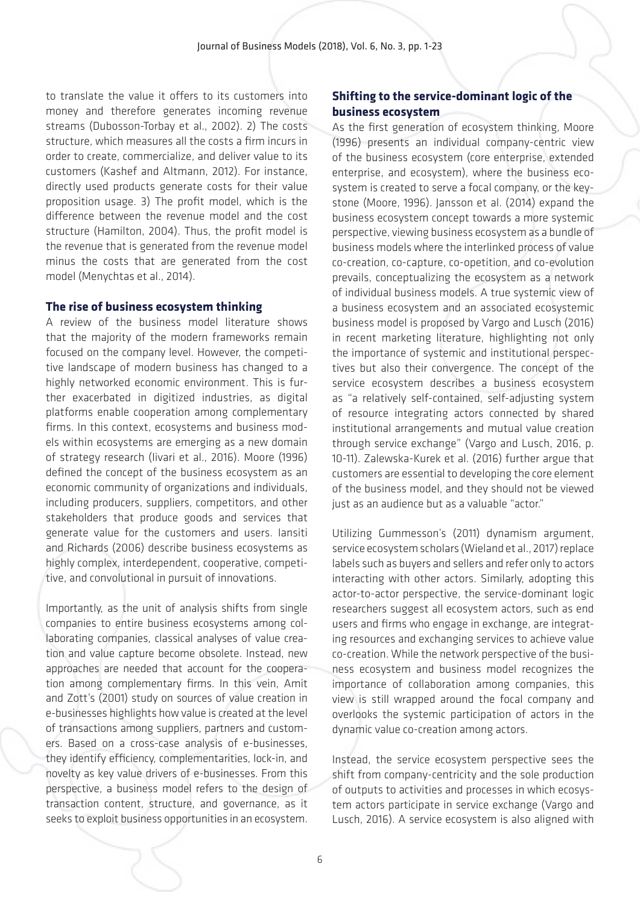to translate the value it offers to its customers into money and therefore generates incoming revenue streams (Dubosson-Torbay et al., 2002). 2) The costs structure, which measures all the costs a firm incurs in order to create, commercialize, and deliver value to its customers (Kashef and Altmann, 2012). For instance, directly used products generate costs for their value proposition usage. 3) The profit model, which is the difference between the revenue model and the cost structure (Hamilton, 2004). Thus, the profit model is the revenue that is generated from the revenue model minus the costs that are generated from the cost model (Menychtas et al., 2014).

#### **The rise of business ecosystem thinking**

A review of the business model literature shows that the majority of the modern frameworks remain focused on the company level. However, the competitive landscape of modern business has changed to a highly networked economic environment. This is further exacerbated in digitized industries, as digital platforms enable cooperation among complementary firms. In this context, ecosystems and business models within ecosystems are emerging as a new domain of strategy research (Iivari et al., 2016). Moore (1996) defined the concept of the business ecosystem as an economic community of organizations and individuals, including producers, suppliers, competitors, and other stakeholders that produce goods and services that generate value for the customers and users. Iansiti and Richards (2006) describe business ecosystems as highly complex, interdependent, cooperative, competitive, and convolutional in pursuit of innovations.

Importantly, as the unit of analysis shifts from single companies to entire business ecosystems among collaborating companies, classical analyses of value creation and value capture become obsolete. Instead, new approaches are needed that account for the cooperation among complementary firms. In this vein, Amit and Zott's (2001) study on sources of value creation in e-businesses highlights how value is created at the level of transactions among suppliers, partners and customers. Based on a cross-case analysis of e-businesses, they identify efficiency, complementarities, lock-in, and novelty as key value drivers of e-businesses. From this perspective, a business model refers to the design of transaction content, structure, and governance, as it seeks to exploit business opportunities in an ecosystem.

### **Shifting to the service-dominant logic of the business ecosystem**

As the first generation of ecosystem thinking, Moore (1996) presents an individual company-centric view of the business ecosystem (core enterprise, extended enterprise, and ecosystem), where the business ecosystem is created to serve a focal company, or the keystone (Moore, 1996). Jansson et al. (2014) expand the business ecosystem concept towards a more systemic perspective, viewing business ecosystem as a bundle of business models where the interlinked process of value co-creation, co-capture, co-opetition, and co-evolution prevails, conceptualizing the ecosystem as a network of individual business models. A true systemic view of a business ecosystem and an associated ecosystemic business model is proposed by Vargo and Lusch (2016) in recent marketing literature, highlighting not only the importance of systemic and institutional perspectives but also their convergence. The concept of the service ecosystem describes a business ecosystem as "a relatively self-contained, self-adjusting system of resource integrating actors connected by shared institutional arrangements and mutual value creation through service exchange" (Vargo and Lusch, 2016, p. 10-11). Zalewska-Kurek et al. (2016) further argue that customers are essential to developing the core element of the business model, and they should not be viewed just as an audience but as a valuable "actor."

Utilizing Gummesson's (2011) dynamism argument, service ecosystem scholars (Wieland et al., 2017) replace labels such as buyers and sellers and refer only to actors interacting with other actors. Similarly, adopting this actor-to-actor perspective, the service-dominant logic researchers suggest all ecosystem actors, such as end users and firms who engage in exchange, are integrating resources and exchanging services to achieve value co-creation. While the network perspective of the business ecosystem and business model recognizes the importance of collaboration among companies, this view is still wrapped around the focal company and overlooks the systemic participation of actors in the dynamic value co-creation among actors.

Instead, the service ecosystem perspective sees the shift from company-centricity and the sole production of outputs to activities and processes in which ecosystem actors participate in service exchange (Vargo and Lusch, 2016). A service ecosystem is also aligned with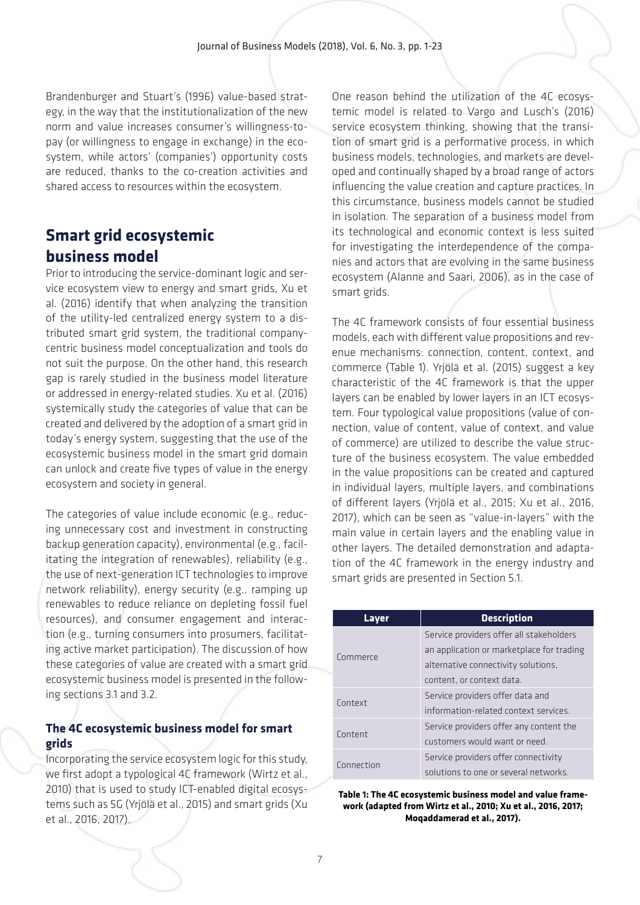Brandenburger and Stuart's (1996) value-based strategy, in the way that the institutionalization of the new norm and value increases consumer's willingness-topay (or willingness to engage in exchange) in the ecosystem, while actors' (companies') opportunity costs are reduced, thanks to the co-creation activities and shared access to resources within the ecosystem.

# **Smart grid ecosystemic business model**

Prior to introducing the service-dominant logic and service ecosystem view to energy and smart grids, Xu et al. (2016) identify that when analyzing the transition of the utility-led centralized energy system to a distributed smart grid system, the traditional companycentric business model conceptualization and tools do not suit the purpose. On the other hand, this research gap is rarely studied in the business model literature or addressed in energy-related studies. Xu et al. (2016) systemically study the categories of value that can be created and delivered by the adoption of a smart grid in today's energy system, suggesting that the use of the ecosystemic business model in the smart grid domain can unlock and create five types of value in the energy ecosystem and society in general.

The categories of value include economic (e.g., reducing unnecessary cost and investment in constructing backup generation capacity), environmental (e.g., facilitating the integration of renewables), reliability (e.g., the use of next-generation ICT technologies to improve network reliability), energy security (e.g., ramping up renewables to reduce reliance on depleting fossil fuel resources), and consumer engagement and interaction (e.g., turning consumers into prosumers, facilitating active market participation). The discussion of how these categories of value are created with a smart grid ecosystemic business model is presented in the following sections 3.1 and 3.2.

### **The 4C ecosystemic business model for smart grids**

Incorporating the service ecosystem logic for this study, we first adopt a typological 4C framework (Wirtz et al., 2010) that is used to study ICT-enabled digital ecosystems such as 5G (Yrjölä et al., 2015) and smart grids (Xu et al., 2016, 2017).

One reason behind the utilization of the 4C ecosystemic model is related to Vargo and Lusch's (2016) service ecosystem thinking, showing that the transition of smart grid is a performative process, in which business models, technologies, and markets are developed and continually shaped by a broad range of actors influencing the value creation and capture practices. In this circumstance, business models cannot be studied in isolation. The separation of a business model from its technological and economic context is less suited for investigating the interdependence of the companies and actors that are evolving in the same business ecosystem (Alanne and Saari, 2006), as in the case of smart grids.

The 4C framework consists of four essential business models, each with different value propositions and revenue mechanisms: connection, content, context, and commerce (Table 1). Yrjölä et al. (2015) suggest a key characteristic of the 4C framework is that the upper layers can be enabled by lower layers in an ICT ecosystem. Four typological value propositions (value of connection, value of content, value of context, and value of commerce) are utilized to describe the value structure of the business ecosystem. The value embedded in the value propositions can be created and captured in individual layers, multiple layers, and combinations of different layers (Yrjölä et al., 2015; Xu et al., 2016, 2017), which can be seen as "value-in-layers" with the main value in certain layers and the enabling value in other layers. The detailed demonstration and adaptation of the 4C framework in the energy industry and smart grids are presented in Section 5.1.

| Layer      | <b>Description</b>                        |  |  |
|------------|-------------------------------------------|--|--|
|            | Service providers offer all stakeholders  |  |  |
| Commerce   | an application or marketplace for trading |  |  |
|            | alternative connectivity solutions.       |  |  |
|            | content, or context data.                 |  |  |
| Context    | Service providers offer data and          |  |  |
|            | information-related context services.     |  |  |
| Content    | Service providers offer any content the   |  |  |
|            | customers would want or need.             |  |  |
| Connection | Service providers offer connectivity      |  |  |
|            | solutions to one or several networks.     |  |  |

**Table 1: The 4C ecosystemic business model and value framework (adapted from Wirtz et al., 2010; Xu et al., 2016, 2017; Moqaddamerad et al., 2017).**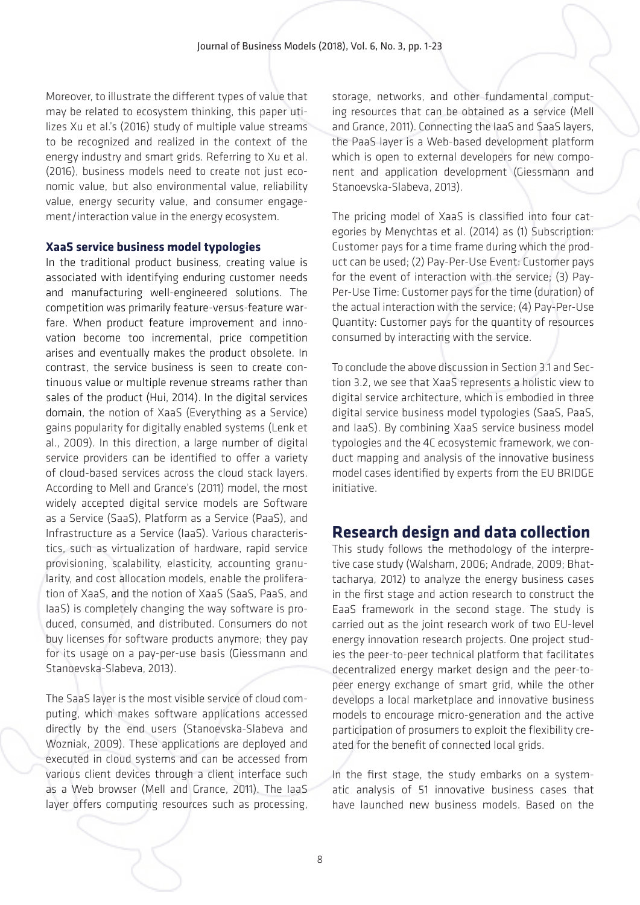Moreover, to illustrate the different types of value that may be related to ecosystem thinking, this paper utilizes Xu et al.'s (2016) study of multiple value streams to be recognized and realized in the context of the energy industry and smart grids. Referring to Xu et al. (2016), business models need to create not just economic value, but also environmental value, reliability value, energy security value, and consumer engagement/interaction value in the energy ecosystem.

#### **XaaS service business model typologies**

In the traditional product business, creating value is associated with identifying enduring customer needs and manufacturing well-engineered solutions. The competition was primarily feature-versus-feature warfare. When product feature improvement and innovation become too incremental, price competition arises and eventually makes the product obsolete. In contrast, the service business is seen to create continuous value or multiple revenue streams rather than sales of the product (Hui, 2014). In the digital services domain, the notion of XaaS (Everything as a Service) gains popularity for digitally enabled systems (Lenk et al., 2009). In this direction, a large number of digital service providers can be identified to offer a variety of cloud-based services across the cloud stack layers. According to Mell and Grance's (2011) model, the most widely accepted digital service models are Software as a Service (SaaS), Platform as a Service (PaaS), and Infrastructure as a Service (IaaS). Various characteristics, such as virtualization of hardware, rapid service provisioning, scalability, elasticity, accounting granularity, and cost allocation models, enable the proliferation of XaaS, and the notion of XaaS (SaaS, PaaS, and IaaS) is completely changing the way software is produced, consumed, and distributed. Consumers do not buy licenses for software products anymore; they pay for its usage on a pay-per-use basis (Giessmann and Stanoevska-Slabeva, 2013).

The SaaS layer is the most visible service of cloud computing, which makes software applications accessed directly by the end users (Stanoevska-Slabeva and Wozniak, 2009). These applications are deployed and executed in cloud systems and can be accessed from various client devices through a client interface such as a Web browser (Mell and Grance, 2011). The IaaS layer offers computing resources such as processing,

storage, networks, and other fundamental computing resources that can be obtained as a service (Mell and Grance, 2011). Connecting the IaaS and SaaS layers, the PaaS layer is a Web-based development platform which is open to external developers for new component and application development (Giessmann and Stanoevska-Slabeva, 2013).

The pricing model of XaaS is classified into four categories by Menychtas et al. (2014) as (1) Subscription: Customer pays for a time frame during which the product can be used; (2) Pay-Per-Use Event: Customer pays for the event of interaction with the service; (3) Pay-Per-Use Time: Customer pays for the time (duration) of the actual interaction with the service; (4) Pay-Per-Use Quantity: Customer pays for the quantity of resources consumed by interacting with the service.

To conclude the above discussion in Section 3.1 and Section 3.2, we see that XaaS represents a holistic view to digital service architecture, which is embodied in three digital service business model typologies (SaaS, PaaS, and IaaS). By combining XaaS service business model typologies and the 4C ecosystemic framework, we conduct mapping and analysis of the innovative business model cases identified by experts from the EU BRIDGE initiative.

# **Research design and data collection**

This study follows the methodology of the interpretive case study (Walsham, 2006; Andrade, 2009; Bhattacharya, 2012) to analyze the energy business cases in the first stage and action research to construct the EaaS framework in the second stage. The study is carried out as the joint research work of two EU-level energy innovation research projects. One project studies the peer-to-peer technical platform that facilitates decentralized energy market design and the peer-topeer energy exchange of smart grid, while the other develops a local marketplace and innovative business models to encourage micro-generation and the active participation of prosumers to exploit the flexibility created for the benefit of connected local grids.

In the first stage, the study embarks on a systematic analysis of 51 innovative business cases that have launched new business models. Based on the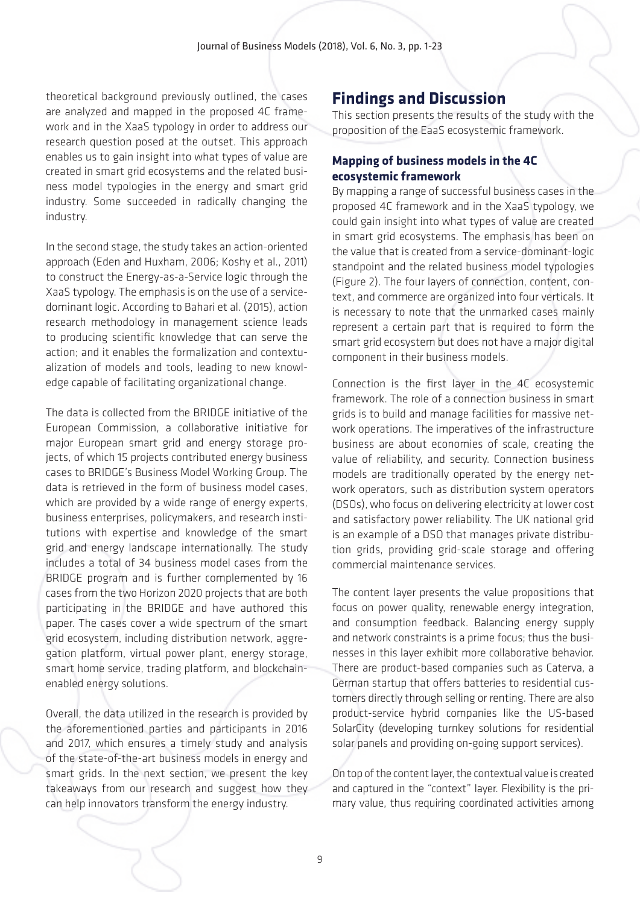theoretical background previously outlined, the cases are analyzed and mapped in the proposed 4C framework and in the XaaS typology in order to address our research question posed at the outset. This approach enables us to gain insight into what types of value are created in smart grid ecosystems and the related business model typologies in the energy and smart grid industry. Some succeeded in radically changing the industry.

In the second stage, the study takes an action-oriented approach (Eden and Huxham, 2006; Koshy et al., 2011) to construct the Energy-as-a-Service logic through the XaaS typology. The emphasis is on the use of a servicedominant logic. According to Bahari et al. (2015), action research methodology in management science leads to producing scientific knowledge that can serve the action; and it enables the formalization and contextualization of models and tools, leading to new knowledge capable of facilitating organizational change.

The data is collected from the BRIDGE initiative of the European Commission, a collaborative initiative for major European smart grid and energy storage projects, of which 15 projects contributed energy business cases to BRIDGE's Business Model Working Group. The data is retrieved in the form of business model cases, which are provided by a wide range of energy experts, business enterprises, policymakers, and research institutions with expertise and knowledge of the smart grid and energy landscape internationally. The study includes a total of 34 business model cases from the BRIDGE program and is further complemented by 16 cases from the two Horizon 2020 projects that are both participating in the BRIDGE and have authored this paper. The cases cover a wide spectrum of the smart grid ecosystem, including distribution network, aggregation platform, virtual power plant, energy storage, smart home service, trading platform, and blockchainenabled energy solutions.

Overall, the data utilized in the research is provided by the aforementioned parties and participants in 2016 and 2017, which ensures a timely study and analysis of the state-of-the-art business models in energy and smart grids. In the next section, we present the key takeaways from our research and suggest how they can help innovators transform the energy industry.

# **Findings and Discussion**

This section presents the results of the study with the proposition of the EaaS ecosystemic framework.

### **Mapping of business models in the 4C ecosystemic framework**

By mapping a range of successful business cases in the proposed 4C framework and in the XaaS typology, we could gain insight into what types of value are created in smart grid ecosystems. The emphasis has been on the value that is created from a service-dominant-logic standpoint and the related business model typologies (Figure 2). The four layers of connection, content, context, and commerce are organized into four verticals. It is necessary to note that the unmarked cases mainly represent a certain part that is required to form the smart grid ecosystem but does not have a major digital component in their business models.

Connection is the first layer in the 4C ecosystemic framework. The role of a connection business in smart grids is to build and manage facilities for massive network operations. The imperatives of the infrastructure business are about economies of scale, creating the value of reliability, and security. Connection business models are traditionally operated by the energy network operators, such as distribution system operators (DSOs), who focus on delivering electricity at lower cost and satisfactory power reliability. The UK national grid is an example of a DSO that manages private distribution grids, providing grid-scale storage and offering commercial maintenance services.

The content layer presents the value propositions that focus on power quality, renewable energy integration, and consumption feedback. Balancing energy supply and network constraints is a prime focus; thus the businesses in this layer exhibit more collaborative behavior. There are product-based companies such as Caterva, a German startup that offers batteries to residential customers directly through selling or renting. There are also product-service hybrid companies like the US-based SolarCity (developing turnkey solutions for residential solar panels and providing on-going support services).

On top of the content layer, the contextual value is created and captured in the "context" layer. Flexibility is the primary value, thus requiring coordinated activities among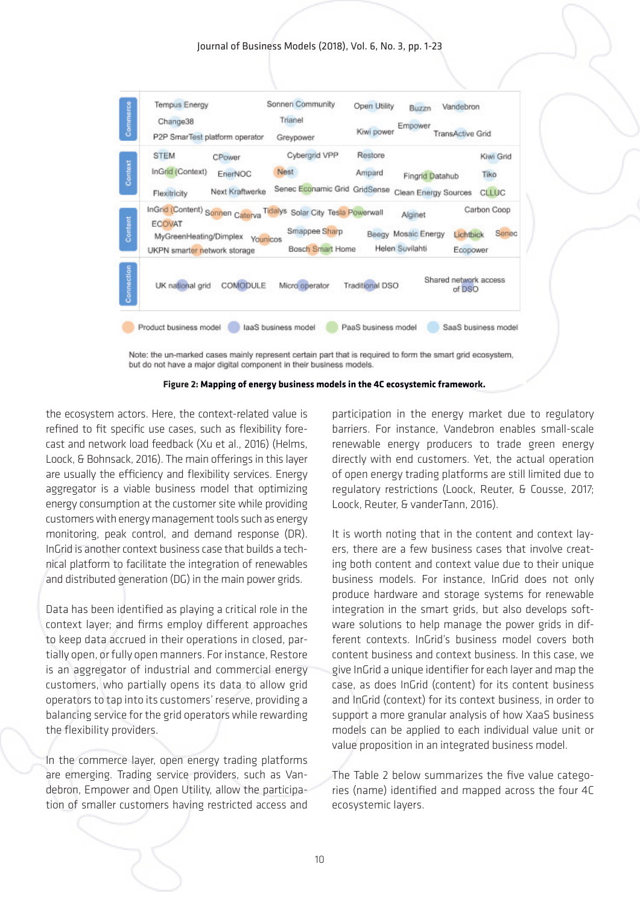Journal of Business Models (2018), Vol. 6, No. 3, pp. 1-23



Note: the un-marked cases mainly represent certain part that is required to form the smart grid ecosystem, but do not have a major digital component in their business models.



the ecosystem actors. Here, the context-related value is refined to fit specific use cases, such as flexibility forecast and network load feedback (Xu et al., 2016) (Helms, Loock, & Bohnsack, 2016). The main offerings in this layer are usually the efficiency and flexibility services. Energy aggregator is a viable business model that optimizing energy consumption at the customer site while providing customers with energy management tools such as energy monitoring, peak control, and demand response (DR). InGrid is another context business case that builds a technical platform to facilitate the integration of renewables and distributed generation (DG) in the main power grids.

Data has been identified as playing a critical role in the context layer; and firms employ different approaches to keep data accrued in their operations in closed, partially open, or fully open manners. For instance, Restore is an aggregator of industrial and commercial energy customers, who partially opens its data to allow grid operators to tap into its customers' reserve, providing a balancing service for the grid operators while rewarding the flexibility providers.

In the commerce layer, open energy trading platforms are emerging. Trading service providers, such as Vandebron, Empower and Open Utility, allow the participation of smaller customers having restricted access and

participation in the energy market due to regulatory barriers. For instance, Vandebron enables small-scale renewable energy producers to trade green energy directly with end customers. Yet, the actual operation of open energy trading platforms are still limited due to regulatory restrictions (Loock, Reuter, & Cousse, 2017; Loock, Reuter, & vanderTann, 2016).

It is worth noting that in the content and context layers, there are a few business cases that involve creating both content and context value due to their unique business models. For instance, InGrid does not only produce hardware and storage systems for renewable integration in the smart grids, but also develops software solutions to help manage the power grids in different contexts. InGrid's business model covers both content business and context business. In this case, we give InGrid a unique identifier for each layer and map the case, as does InGrid (content) for its content business and InGrid (context) for its context business, in order to support a more granular analysis of how XaaS business models can be applied to each individual value unit or value proposition in an integrated business model.

The Table 2 below summarizes the five value categories (name) identified and mapped across the four 4C ecosystemic layers.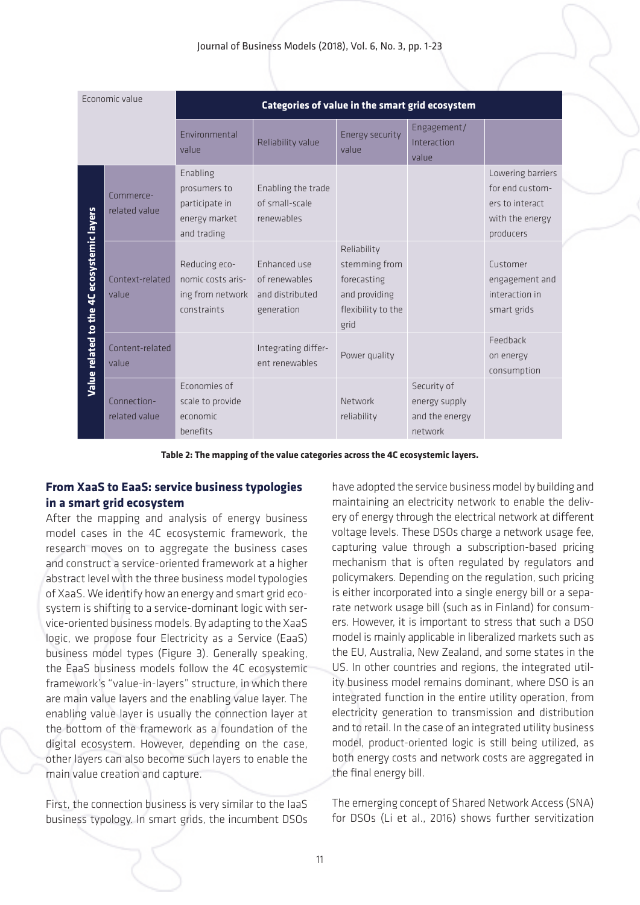| Economic value                             |                              | Categories of value in the smart grid ecosystem                            |                                                                |                                                                                            |                                                           |                                                                                         |
|--------------------------------------------|------------------------------|----------------------------------------------------------------------------|----------------------------------------------------------------|--------------------------------------------------------------------------------------------|-----------------------------------------------------------|-----------------------------------------------------------------------------------------|
|                                            |                              | Environmental<br>value                                                     | Reliability value                                              | <b>Energy security</b><br>value                                                            | Engagement/<br>Interaction<br>value                       |                                                                                         |
| Value related to the 4C ecosystemic layers | Commerce-<br>related value   | Enabling<br>prosumers to<br>participate in<br>energy market<br>and trading | Enabling the trade<br>of small-scale<br>renewables             |                                                                                            |                                                           | Lowering barriers<br>for end custom-<br>ers to interact<br>with the energy<br>producers |
|                                            | Context-related<br>value     | Reducing eco-<br>nomic costs aris-<br>ing from network<br>constraints      | Enhanced use<br>of renewables<br>and distributed<br>generation | Reliability<br>stemming from<br>forecasting<br>and providing<br>flexibility to the<br>grid |                                                           | Customer<br>engagement and<br>interaction in<br>smart grids                             |
|                                            | Content-related<br>value     |                                                                            | Integrating differ-<br>ent renewables                          | Power quality                                                                              |                                                           | Feedback<br>on energy<br>consumption                                                    |
|                                            | Connection-<br>related value | Economies of<br>scale to provide<br>economic<br>benefits                   |                                                                | Network<br>reliability                                                                     | Security of<br>energy supply<br>and the energy<br>network |                                                                                         |

**Table 2: The mapping of the value categories across the 4C ecosystemic layers.**

### **From XaaS to EaaS: service business typologies in a smart grid ecosystem**

After the mapping and analysis of energy business model cases in the 4C ecosystemic framework, the research moves on to aggregate the business cases and construct a service-oriented framework at a higher abstract level with the three business model typologies of XaaS. We identify how an energy and smart grid ecosystem is shifting to a service-dominant logic with service-oriented business models. By adapting to the XaaS logic, we propose four Electricity as a Service (EaaS) business model types (Figure 3). Generally speaking, the EaaS business models follow the 4C ecosystemic framework's "value-in-layers" structure, in which there are main value layers and the enabling value layer. The enabling value layer is usually the connection layer at the bottom of the framework as a foundation of the digital ecosystem. However, depending on the case, other layers can also become such layers to enable the main value creation and capture.

First, the connection business is very similar to the IaaS business typology. In smart grids, the incumbent DSOs have adopted the service business model by building and maintaining an electricity network to enable the delivery of energy through the electrical network at different voltage levels. These DSOs charge a network usage fee, capturing value through a subscription-based pricing mechanism that is often regulated by regulators and policymakers. Depending on the regulation, such pricing is either incorporated into a single energy bill or a separate network usage bill (such as in Finland) for consumers. However, it is important to stress that such a DSO model is mainly applicable in liberalized markets such as the EU, Australia, New Zealand, and some states in the US. In other countries and regions, the integrated utility business model remains dominant, where DSO is an integrated function in the entire utility operation, from electricity generation to transmission and distribution and to retail. In the case of an integrated utility business model, product-oriented logic is still being utilized, as both energy costs and network costs are aggregated in the final energy bill.

The emerging concept of Shared Network Access (SNA) for DSOs (Li et al., 2016) shows further servitization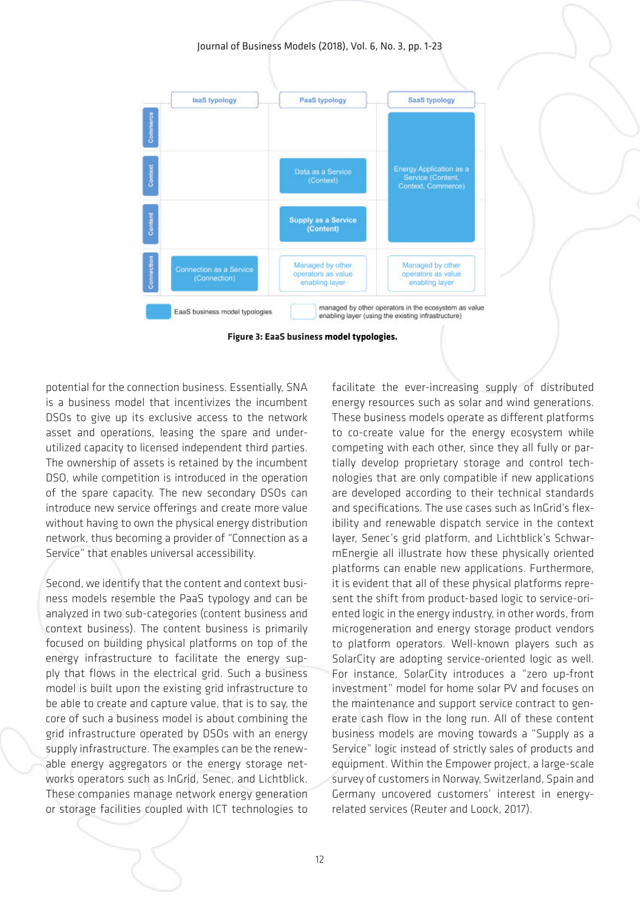Journal of Business Models (2018), Vol. 6, No. 3, pp. 1-23



**Figure 3: EaaS business model typologies.**

potential for the connection business. Essentially, SNA is a business model that incentivizes the incumbent DSOs to give up its exclusive access to the network asset and operations, leasing the spare and underutilized capacity to licensed independent third parties. The ownership of assets is retained by the incumbent DSO, while competition is introduced in the operation of the spare capacity. The new secondary DSOs can introduce new service offerings and create more value without having to own the physical energy distribution network, thus becoming a provider of "Connection as a Service" that enables universal accessibility.

Second, we identify that the content and context business models resemble the PaaS typology and can be analyzed in two sub-categories (content business and context business). The content business is primarily focused on building physical platforms on top of the energy infrastructure to facilitate the energy supply that flows in the electrical grid. Such a business model is built upon the existing grid infrastructure to be able to create and capture value, that is to say, the core of such a business model is about combining the grid infrastructure operated by DSOs with an energy supply infrastructure. The examples can be the renewable energy aggregators or the energy storage networks operators such as InGrid, Senec, and Lichtblick. These companies manage network energy generation or storage facilities coupled with ICT technologies to

facilitate the ever-increasing supply of distributed energy resources such as solar and wind generations. These business models operate as different platforms to co-create value for the energy ecosystem while competing with each other, since they all fully or partially develop proprietary storage and control technologies that are only compatible if new applications are developed according to their technical standards and specifications. The use cases such as InGrid's flexibility and renewable dispatch service in the context layer, Senec's grid platform, and Lichtblick's SchwarmEnergie all illustrate how these physically oriented platforms can enable new applications. Furthermore, it is evident that all of these physical platforms represent the shift from product-based logic to service-oriented logic in the energy industry, in other words, from microgeneration and energy storage product vendors to platform operators. Well-known players such as SolarCity are adopting service-oriented logic as well. For instance, SolarCity introduces a "zero up-front investment" model for home solar PV and focuses on the maintenance and support service contract to generate cash flow in the long run. All of these content business models are moving towards a "Supply as a Service" logic instead of strictly sales of products and equipment. Within the Empower project, a large-scale survey of customers in Norway, Switzerland, Spain and Germany uncovered customers' interest in energyrelated services (Reuter and Loock, 2017).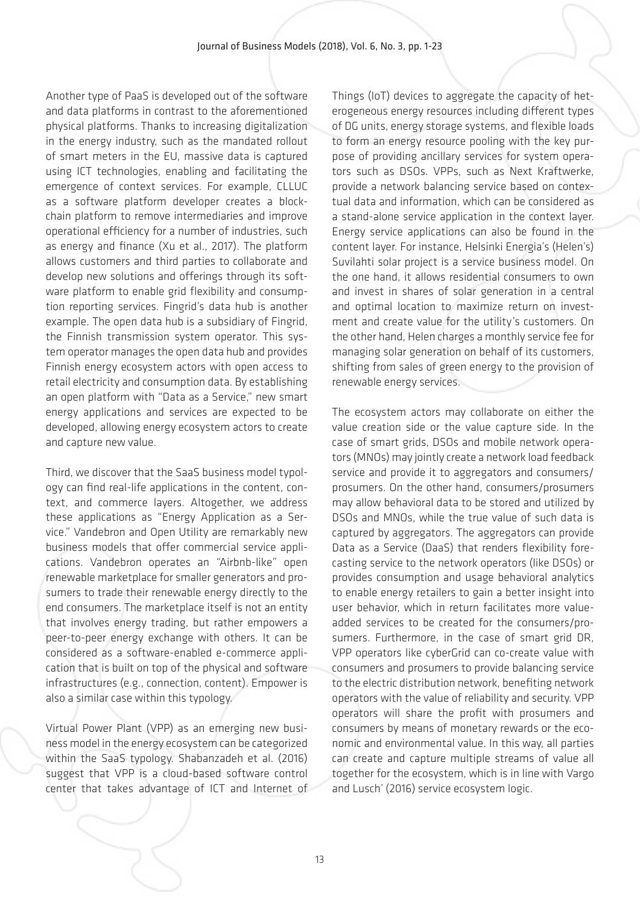Another type of PaaS is developed out of the software and data platforms in contrast to the aforementioned physical platforms. Thanks to increasing digitalization in the energy industry, such as the mandated rollout of smart meters in the EU, massive data is captured using ICT technologies, enabling and facilitating the emergence of context services. For example, CLLUC as a software platform developer creates a blockchain platform to remove intermediaries and improve operational efficiency for a number of industries, such as energy and finance (Xu et al., 2017). The platform allows customers and third parties to collaborate and develop new solutions and offerings through its software platform to enable grid flexibility and consumption reporting services. Fingrid's data hub is another example. The open data hub is a subsidiary of Fingrid, the Finnish transmission system operator. This system operator manages the open data hub and provides Finnish energy ecosystem actors with open access to retail electricity and consumption data. By establishing an open platform with "Data as a Service," new smart energy applications and services are expected to be developed, allowing energy ecosystem actors to create and capture new value.

Third, we discover that the SaaS business model typology can find real-life applications in the content, context, and commerce layers. Altogether, we address these applications as "Energy Application as a Service." Vandebron and Open Utility are remarkably new business models that offer commercial service applications. Vandebron operates an "Airbnb-like" open renewable marketplace for smaller generators and prosumers to trade their renewable energy directly to the end consumers. The marketplace itself is not an entity that involves energy trading, but rather empowers a peer-to-peer energy exchange with others. It can be considered as a software-enabled e-commerce application that is built on top of the physical and software infrastructures (e.g., connection, content). Empower is also a similar case within this typology.

Virtual Power Plant (VPP) as an emerging new business model in the energy ecosystem can be categorized within the SaaS typology. Shabanzadeh et al. (2016) suggest that VPP is a cloud-based software control center that takes advantage of ICT and Internet of Things (IoT) devices to aggregate the capacity of heterogeneous energy resources including different types of DG units, energy storage systems, and flexible loads to form an energy resource pooling with the key purpose of providing ancillary services for system operators such as DSOs. VPPs, such as Next Kraftwerke, provide a network balancing service based on contextual data and information, which can be considered as a stand-alone service application in the context layer. Energy service applications can also be found in the content layer. For instance, Helsinki Energia's (Helen's) Suvilahti solar project is a service business model. On the one hand, it allows residential consumers to own and invest in shares of solar generation in a central and optimal location to maximize return on investment and create value for the utility's customers. On the other hand, Helen charges a monthly service fee for managing solar generation on behalf of its customers, shifting from sales of green energy to the provision of renewable energy services.

The ecosystem actors may collaborate on either the value creation side or the value capture side. In the case of smart grids, DSOs and mobile network operators (MNOs) may jointly create a network load feedback service and provide it to aggregators and consumers/ prosumers. On the other hand, consumers/prosumers may allow behavioral data to be stored and utilized by DSOs and MNOs, while the true value of such data is captured by aggregators. The aggregators can provide Data as a Service (DaaS) that renders flexibility forecasting service to the network operators (like DSOs) or provides consumption and usage behavioral analytics to enable energy retailers to gain a better insight into user behavior, which in return facilitates more valueadded services to be created for the consumers/prosumers. Furthermore, in the case of smart grid DR, VPP operators like cyberGrid can co-create value with consumers and prosumers to provide balancing service to the electric distribution network, benefiting network operators with the value of reliability and security. VPP operators will share the profit with prosumers and consumers by means of monetary rewards or the economic and environmental value. In this way, all parties can create and capture multiple streams of value all together for the ecosystem, which is in line with Vargo and Lusch' (2016) service ecosystem logic.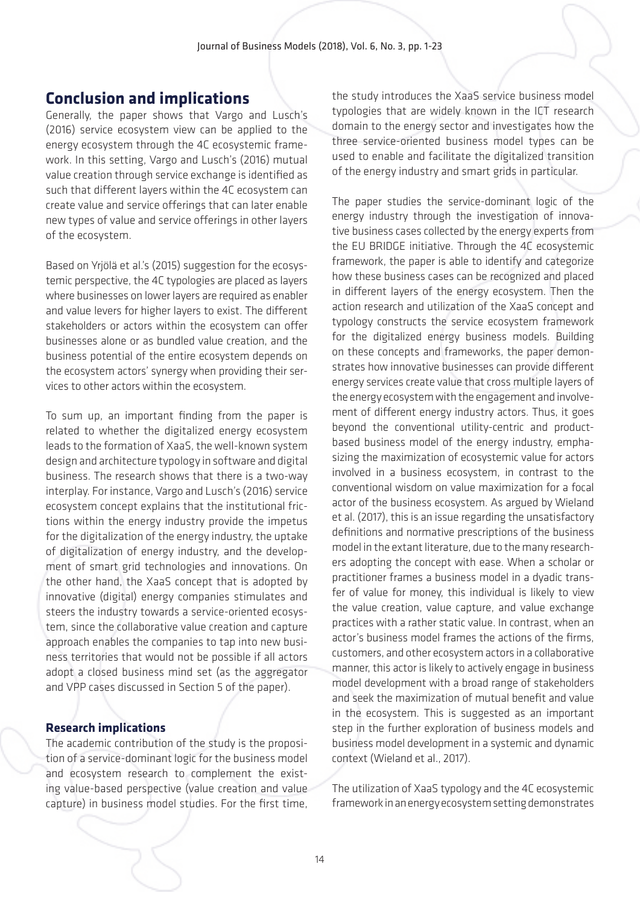### **Conclusion and implications**

Generally, the paper shows that Vargo and Lusch's (2016) service ecosystem view can be applied to the energy ecosystem through the 4C ecosystemic framework. In this setting, Vargo and Lusch's (2016) mutual value creation through service exchange is identified as such that different layers within the 4C ecosystem can create value and service offerings that can later enable new types of value and service offerings in other layers of the ecosystem.

Based on Yrjölä et al.'s (2015) suggestion for the ecosystemic perspective, the 4C typologies are placed as layers where businesses on lower layers are required as enabler and value levers for higher layers to exist. The different stakeholders or actors within the ecosystem can offer businesses alone or as bundled value creation, and the business potential of the entire ecosystem depends on the ecosystem actors' synergy when providing their services to other actors within the ecosystem.

To sum up, an important finding from the paper is related to whether the digitalized energy ecosystem leads to the formation of XaaS, the well-known system design and architecture typology in software and digital business. The research shows that there is a two-way interplay. For instance, Vargo and Lusch's (2016) service ecosystem concept explains that the institutional frictions within the energy industry provide the impetus for the digitalization of the energy industry, the uptake of digitalization of energy industry, and the development of smart grid technologies and innovations. On the other hand, the XaaS concept that is adopted by innovative (digital) energy companies stimulates and steers the industry towards a service-oriented ecosystem, since the collaborative value creation and capture approach enables the companies to tap into new business territories that would not be possible if all actors adopt a closed business mind set (as the aggregator and VPP cases discussed in Section 5 of the paper).

#### **Research implications**

The academic contribution of the study is the proposition of a service-dominant logic for the business model and ecosystem research to complement the existing value-based perspective (value creation and value capture) in business model studies. For the first time, the study introduces the XaaS service business model typologies that are widely known in the ICT research domain to the energy sector and investigates how the three service-oriented business model types can be used to enable and facilitate the digitalized transition of the energy industry and smart grids in particular.

The paper studies the service-dominant logic of the energy industry through the investigation of innovative business cases collected by the energy experts from the EU BRIDGE initiative. Through the 4C ecosystemic framework, the paper is able to identify and categorize how these business cases can be recognized and placed in different layers of the energy ecosystem. Then the action research and utilization of the XaaS concept and typology constructs the service ecosystem framework for the digitalized energy business models. Building on these concepts and frameworks, the paper demonstrates how innovative businesses can provide different energy services create value that cross multiple layers of the energy ecosystem with the engagement and involvement of different energy industry actors. Thus, it goes beyond the conventional utility-centric and productbased business model of the energy industry, emphasizing the maximization of ecosystemic value for actors involved in a business ecosystem, in contrast to the conventional wisdom on value maximization for a focal actor of the business ecosystem. As argued by Wieland et al. (2017), this is an issue regarding the unsatisfactory definitions and normative prescriptions of the business model in the extant literature, due to the many researchers adopting the concept with ease. When a scholar or practitioner frames a business model in a dyadic transfer of value for money, this individual is likely to view the value creation, value capture, and value exchange practices with a rather static value. In contrast, when an actor's business model frames the actions of the firms, customers, and other ecosystem actors in a collaborative manner, this actor is likely to actively engage in business model development with a broad range of stakeholders and seek the maximization of mutual benefit and value in the ecosystem. This is suggested as an important step in the further exploration of business models and business model development in a systemic and dynamic context (Wieland et al., 2017).

The utilization of XaaS typology and the 4C ecosystemic framework in an energy ecosystem setting demonstrates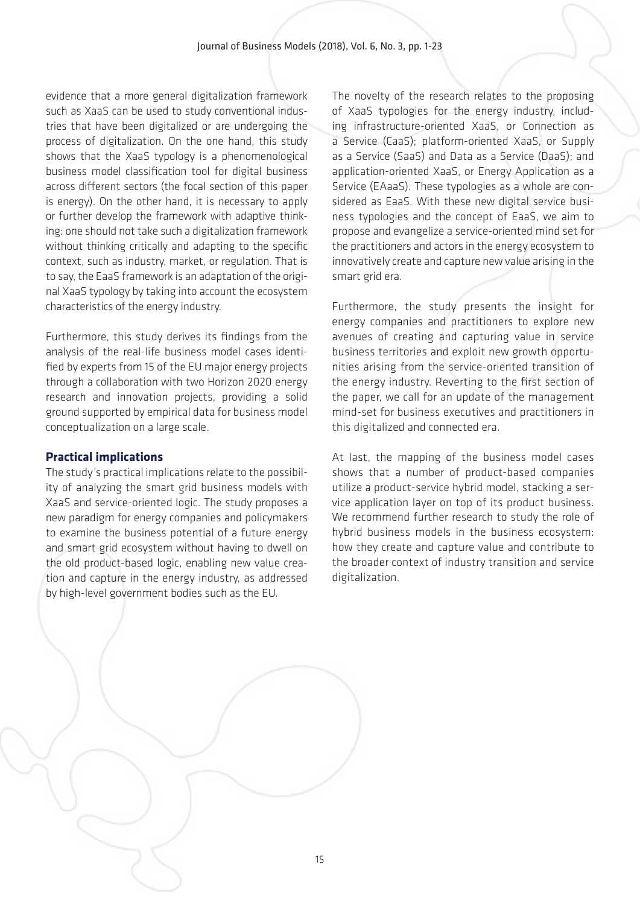evidence that a more general digitalization framework such as XaaS can be used to study conventional industries that have been digitalized or are undergoing the process of digitalization. On the one hand, this study shows that the XaaS typology is a phenomenological business model classification tool for digital business across different sectors (the focal section of this paper is energy). On the other hand, it is necessary to apply or further develop the framework with adaptive thinking: one should not take such a digitalization framework without thinking critically and adapting to the specific context, such as industry, market, or regulation. That is to say, the EaaS framework is an adaptation of the original XaaS typology by taking into account the ecosystem characteristics of the energy industry.

Furthermore, this study derives its findings from the analysis of the real-life business model cases identified by experts from 15 of the EU major energy projects through a collaboration with two Horizon 2020 energy research and innovation projects, providing a solid ground supported by empirical data for business model conceptualization on a large scale.

#### **Practical implications**

The study's practical implications relate to the possibility of analyzing the smart grid business models with XaaS and service-oriented logic. The study proposes a new paradigm for energy companies and policymakers to examine the business potential of a future energy and smart grid ecosystem without having to dwell on the old product-based logic, enabling new value creation and capture in the energy industry, as addressed by high-level government bodies such as the EU.

The novelty of the research relates to the proposing of XaaS typologies for the energy industry, including infrastructure-oriented XaaS, or Connection as a Service (CaaS); platform-oriented XaaS, or Supply as a Service (SaaS) and Data as a Service (DaaS); and application-oriented XaaS, or Energy Application as a Service (EAaaS). These typologies as a whole are considered as EaaS. With these new digital service business typologies and the concept of EaaS, we aim to propose and evangelize a service-oriented mind set for the practitioners and actors in the energy ecosystem to innovatively create and capture new value arising in the smart grid era.

Furthermore, the study presents the insight for energy companies and practitioners to explore new avenues of creating and capturing value in service business territories and exploit new growth opportunities arising from the service-oriented transition of the energy industry. Reverting to the first section of the paper, we call for an update of the management mind-set for business executives and practitioners in this digitalized and connected era.

At last, the mapping of the business model cases shows that a number of product-based companies utilize a product-service hybrid model, stacking a service application layer on top of its product business. We recommend further research to study the role of hybrid business models in the business ecosystem: how they create and capture value and contribute to the broader context of industry transition and service digitalization.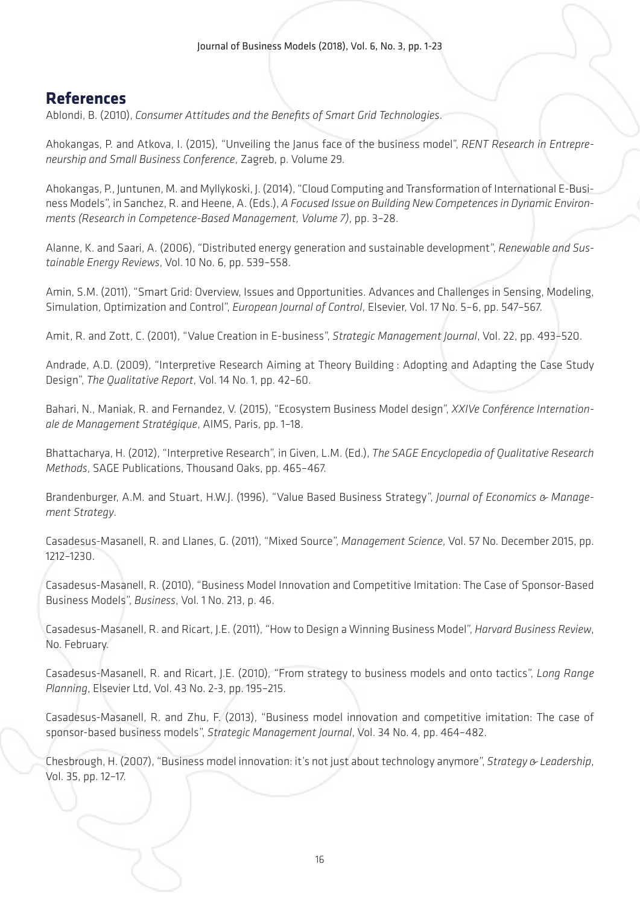# **References**

Ablondi, B. (2010), *Consumer Attitudes and the Benefits of Smart Grid Technologies*.

Ahokangas, P. and Atkova, I. (2015), "Unveiling the Janus face of the business model", *RENT Research in Entrepreneurship and Small Business Conference*, Zagreb, p. Volume 29.

Ahokangas, P., Juntunen, M. and Myllykoski, J. (2014), "Cloud Computing and Transformation of International E-Business Models", in Sanchez, R. and Heene, A. (Eds.), *A Focused Issue on Building New Competences in Dynamic Environments (Research in Competence-Based Management, Volume 7)*, pp. 3–28.

Alanne, K. and Saari, A. (2006), "Distributed energy generation and sustainable development", *Renewable and Sustainable Energy Reviews*, Vol. 10 No. 6, pp. 539–558.

Amin, S.M. (2011), "Smart Grid: Overview, Issues and Opportunities. Advances and Challenges in Sensing, Modeling, Simulation, Optimization and Control", *European Journal of Control*, Elsevier, Vol. 17 No. 5–6, pp. 547–567.

Amit, R. and Zott, C. (2001), "Value Creation in E-business", *Strategic Management Journal*, Vol. 22, pp. 493–520.

Andrade, A.D. (2009), "Interpretive Research Aiming at Theory Building : Adopting and Adapting the Case Study Design", *The Qualitative Report*, Vol. 14 No. 1, pp. 42–60.

Bahari, N., Maniak, R. and Fernandez, V. (2015), "Ecosystem Business Model design", *XXIVe Conférence Internationale de Management Stratégique*, AIMS, Paris, pp. 1–18.

Bhattacharya, H. (2012), "Interpretive Research", in Given, L.M. (Ed.), *The SAGE Encyclopedia of Qualitative Research Methods*, SAGE Publications, Thousand Oaks, pp. 465–467.

Brandenburger, A.M. and Stuart, H.W.J. (1996), "Value Based Business Strategy", *Journal of Economics & Management Strategy*.

Casadesus-Masanell, R. and Llanes, G. (2011), "Mixed Source", *Management Science*, Vol. 57 No. December 2015, pp. 1212–1230.

Casadesus-Masanell, R. (2010), "Business Model Innovation and Competitive Imitation: The Case of Sponsor-Based Business Models", *Business*, Vol. 1 No. 213, p. 46.

Casadesus-Masanell, R. and Ricart, J.E. (2011), "How to Design a Winning Business Model", *Harvard Business Review*, No. February.

Casadesus-Masanell, R. and Ricart, J.E. (2010), "From strategy to business models and onto tactics", *Long Range Planning*, Elsevier Ltd, Vol. 43 No. 2-3, pp. 195–215.

Casadesus-Masanell, R. and Zhu, F. (2013), "Business model innovation and competitive imitation: The case of sponsor-based business models", *Strategic Management Journal*, Vol. 34 No. 4, pp. 464–482.

Chesbrough, H. (2007), "Business model innovation: it's not just about technology anymore", *Strategy & Leadership*, Vol. 35, pp. 12–17.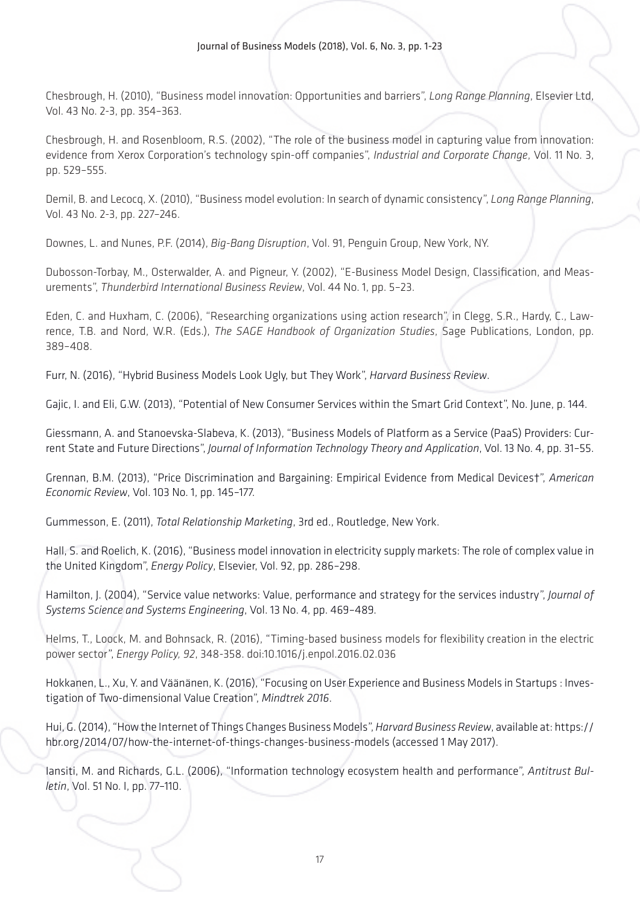Chesbrough, H. (2010), "Business model innovation: Opportunities and barriers", *Long Range Planning*, Elsevier Ltd, Vol. 43 No. 2-3, pp. 354–363.

Chesbrough, H. and Rosenbloom, R.S. (2002), "The role of the business model in capturing value from innovation: evidence from Xerox Corporation's technology spin-off companies", *Industrial and Corporate Change*, Vol. 11 No. 3, pp. 529–555.

Demil, B. and Lecocq, X. (2010), "Business model evolution: In search of dynamic consistency", *Long Range Planning*, Vol. 43 No. 2-3, pp. 227–246.

Downes, L. and Nunes, P.F. (2014), *Big-Bang Disruption*, Vol. 91, Penguin Group, New York, NY.

Dubosson-Torbay, M., Osterwalder, A. and Pigneur, Y. (2002), "E-Business Model Design, Classification, and Measurements", *Thunderbird International Business Review*, Vol. 44 No. 1, pp. 5–23.

Eden, C. and Huxham, C. (2006), "Researching organizations using action research", in Clegg, S.R., Hardy, C., Lawrence, T.B. and Nord, W.R. (Eds.), *The SAGE Handbook of Organization Studies*, Sage Publications, London, pp. 389–408.

Furr, N. (2016), "Hybrid Business Models Look Ugly, but They Work", *Harvard Business Review*.

Gajic, I. and Eli, G.W. (2013), "Potential of New Consumer Services within the Smart Grid Context", No. June, p. 144.

Giessmann, A. and Stanoevska-Slabeva, K. (2013), "Business Models of Platform as a Service (PaaS) Providers: Current State and Future Directions", *Journal of Information Technology Theory and Application*, Vol. 13 No. 4, pp. 31–55.

Grennan, B.M. (2013), "Price Discrimination and Bargaining: Empirical Evidence from Medical Devices†", *American Economic Review*, Vol. 103 No. 1, pp. 145–177.

Gummesson, E. (2011), *Total Relationship Marketing*, 3rd ed., Routledge, New York.

Hall, S. and Roelich, K. (2016), "Business model innovation in electricity supply markets: The role of complex value in the United Kingdom", *Energy Policy*, Elsevier, Vol. 92, pp. 286–298.

Hamilton, J. (2004), "Service value networks: Value, performance and strategy for the services industry", *Journal of Systems Science and Systems Engineering*, Vol. 13 No. 4, pp. 469–489.

Helms, T., Loock, M. and Bohnsack, R. (2016), "Timing-based business models for flexibility creation in the electric power sector", *Energy Policy, 92*, 348-358. doi:10.1016/j.enpol.2016.02.036

Hokkanen, L., Xu, Y. and Väänänen, K. (2016), "Focusing on User Experience and Business Models in Startups : Investigation of Two-dimensional Value Creation", *Mindtrek 2016*.

Hui, G. (2014), "How the Internet of Things Changes Business Models", *Harvard Business Review*, available at: https:// hbr.org/2014/07/how-the-internet-of-things-changes-business-models (accessed 1 May 2017).

Iansiti, M. and Richards, G.L. (2006), "Information technology ecosystem health and performance", *Antitrust Bulletin*, Vol. 51 No. I, pp. 77–110.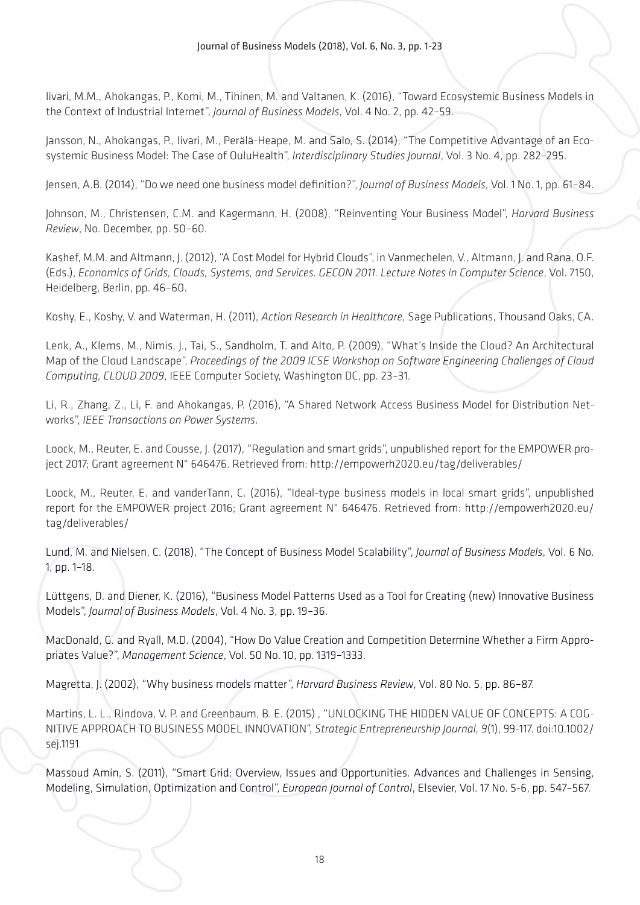Iivari, M.M., Ahokangas, P., Komi, M., Tihinen, M. and Valtanen, K. (2016), "Toward Ecosystemic Business Models in the Context of Industrial Internet", *Journal of Business Models*, Vol. 4 No. 2, pp. 42–59.

Jansson, N., Ahokangas, P., Iivari, M., Perälä-Heape, M. and Salo, S. (2014), "The Competitive Advantage of an Ecosystemic Business Model: The Case of OuluHealth", *Interdisciplinary Studies Journal*, Vol. 3 No. 4, pp. 282–295.

Jensen, A.B. (2014), "Do we need one business model definition?", *Journal of Business Models*, Vol. 1 No. 1, pp. 61–84.

Johnson, M., Christensen, C.M. and Kagermann, H. (2008), "Reinventing Your Business Model", *Harvard Business Review*, No. December, pp. 50–60.

Kashef, M.M. and Altmann, J. (2012), "A Cost Model for Hybrid Clouds", in Vanmechelen, V., Altmann, J. and Rana, O.F. (Eds.), *Economics of Grids, Clouds, Systems, and Services. GECON 2011. Lecture Notes in Computer Science*, Vol. 7150, Heidelberg, Berlin, pp. 46–60.

Koshy, E., Koshy, V. and Waterman, H. (2011), *Action Research in Healthcare*, Sage Publications, Thousand Oaks, CA.

Lenk, A., Klems, M., Nimis, J., Tai, S., Sandholm, T. and Alto, P. (2009), "What's Inside the Cloud? An Architectural Map of the Cloud Landscape", *Proceedings of the 2009 ICSE Workshop on Software Engineering Challenges of Cloud Computing, CLOUD 2009*, IEEE Computer Society, Washington DC, pp. 23–31.

Li, R., Zhang, Z., Li, F. and Ahokangas, P. (2016), "A Shared Network Access Business Model for Distribution Networks", *IEEE Transactions on Power Systems*.

Loock, M., Reuter, E. and Cousse, J. (2017), "Regulation and smart grids", unpublished report for the EMPOWER project 2017; Grant agreement N° 646476. Retrieved from: http://empowerh2020.eu/tag/deliverables/

Loock, M., Reuter, E. and vanderTann, C. (2016), "Ideal-type business models in local smart grids", unpublished report for the EMPOWER project 2016; Grant agreement N° 646476. Retrieved from: http://empowerh2020.eu/ tag/deliverables/

Lund, M. and Nielsen, C. (2018), "The Concept of Business Model Scalability", *Journal of Business Models*, Vol. 6 No. 1, pp. 1–18.

Lüttgens, D. and Diener, K. (2016), "Business Model Patterns Used as a Tool for Creating (new) Innovative Business Models", *Journal of Business Models*, Vol. 4 No. 3, pp. 19–36.

MacDonald, G. and Ryall, M.D. (2004), "How Do Value Creation and Competition Determine Whether a Firm Appropriates Value?", *Management Science*, Vol. 50 No. 10, pp. 1319–1333.

Magretta, J. (2002), "Why business models matter", *Harvard Business Review*, Vol. 80 No. 5, pp. 86–87.

Martins, L. L., Rindova, V. P. and Greenbaum, B. E. (2015) , "UNLOCKING THE HIDDEN VALUE OF CONCEPTS: A COG-NITIVE APPROACH TO BUSINESS MODEL INNOVATION", *Strategic Entrepreneurship Journal, 9*(1), 99-117. doi:10.1002/ sej.1191

Massoud Amin, S. (2011), "Smart Grid: Overview, Issues and Opportunities. Advances and Challenges in Sensing, Modeling, Simulation, Optimization and Control", *European Journal of Control*, Elsevier, Vol. 17 No. 5-6, pp. 547–567.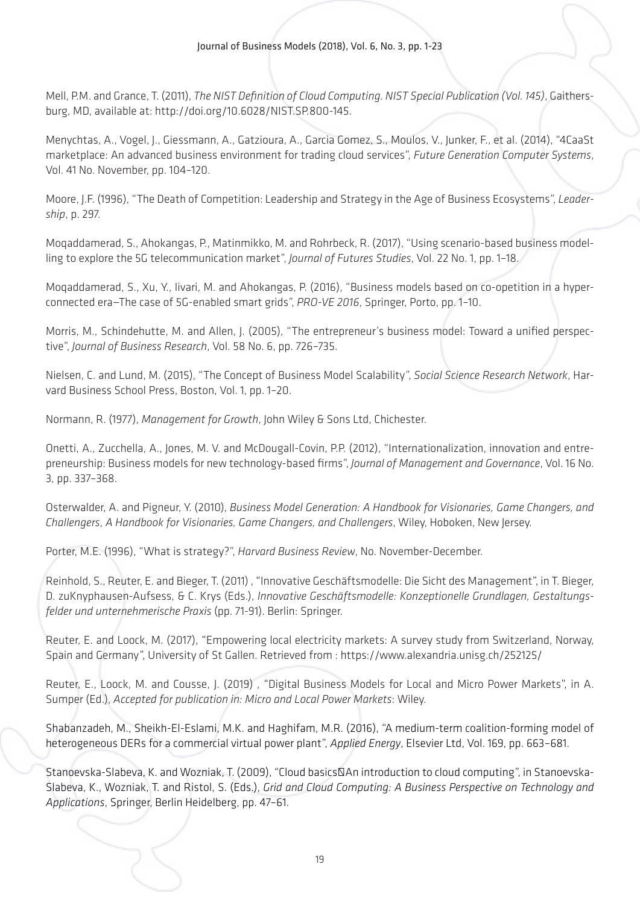Mell, P.M. and Grance, T. (2011), *The NIST Definition of Cloud Computing. NIST Special Publication (Vol. 145)*, Gaithersburg, MD, available at: http://doi.org/10.6028/NIST.SP.800-145.

Menychtas, A., Vogel, J., Giessmann, A., Gatzioura, A., Garcia Gomez, S., Moulos, V., Junker, F., et al. (2014), "4CaaSt marketplace: An advanced business environment for trading cloud services", *Future Generation Computer Systems*, Vol. 41 No. November, pp. 104–120.

Moore, J.F. (1996), "The Death of Competition: Leadership and Strategy in the Age of Business Ecosystems", *Leadership*, p. 297.

Moqaddamerad, S., Ahokangas, P., Matinmikko, M. and Rohrbeck, R. (2017), "Using scenario-based business modelling to explore the 5G telecommunication market", *Journal of Futures Studies*, Vol. 22 No. 1, pp. 1–18.

Moqaddamerad, S., Xu, Y., Iivari, M. and Ahokangas, P. (2016), "Business models based on co-opetition in a hyperconnected era—The case of 5G-enabled smart grids", *PRO-VE 2016*, Springer, Porto, pp. 1–10.

Morris, M., Schindehutte, M. and Allen, J. (2005), "The entrepreneur's business model: Toward a unified perspective", *Journal of Business Research*, Vol. 58 No. 6, pp. 726–735.

Nielsen, C. and Lund, M. (2015), "The Concept of Business Model Scalability", *Social Science Research Network*, Harvard Business School Press, Boston, Vol. 1, pp. 1–20.

Normann, R. (1977), *Management for Growth*, John Wiley & Sons Ltd, Chichester.

Onetti, A., Zucchella, A., Jones, M. V. and McDougall-Covin, P.P. (2012), "Internationalization, innovation and entrepreneurship: Business models for new technology-based firms", *Journal of Management and Governance*, Vol. 16 No. 3, pp. 337–368.

Osterwalder, A. and Pigneur, Y. (2010), *Business Model Generation: A Handbook for Visionaries, Game Changers, and Challengers*, *A Handbook for Visionaries, Game Changers, and Challengers*, Wiley, Hoboken, New Jersey.

Porter, M.E. (1996), "What is strategy?", *Harvard Business Review*, No. November-December.

Reinhold, S., Reuter, E. and Bieger, T. (2011) , "Innovative Geschäftsmodelle: Die Sicht des Management", in T. Bieger, D. zuKnyphausen-Aufsess, & C. Krys (Eds.), *Innovative Geschäftsmodelle: Konzeptionelle Grundlagen, Gestaltungsfelder und unternehmerische Praxis* (pp. 71-91). Berlin: Springer.

Reuter, E. and Loock, M. (2017), "Empowering local electricity markets: A survey study from Switzerland, Norway, Spain and Germany", University of St Gallen. Retrieved from : https://www.alexandria.unisg.ch/252125/

Reuter, E., Loock, M. and Cousse, J. (2019) , "Digital Business Models for Local and Micro Power Markets", in A. Sumper (Ed.), *Accepted for publication in: Micro and Local Power Markets*: Wiley.

Shabanzadeh, M., Sheikh-El-Eslami, M.K. and Haghifam, M.R. (2016), "A medium-term coalition-forming model of heterogeneous DERs for a commercial virtual power plant", *Applied Energy*, Elsevier Ltd, Vol. 169, pp. 663–681.

Stanoevska-Slabeva, K. and Wozniak, T. (2009), "Cloud basics―An introduction to cloud computing", in Stanoevska-Slabeva, K., Wozniak, T. and Ristol, S. (Eds.), *Grid and Cloud Computing: A Business Perspective on Technology and Applications*, Springer, Berlin Heidelberg, pp. 47–61.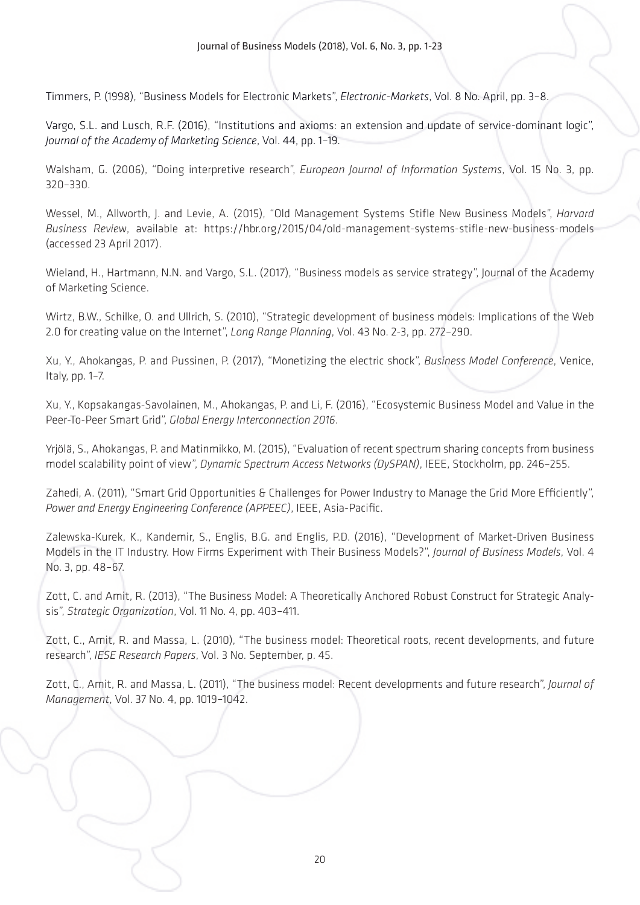Timmers, P. (1998), "Business Models for Electronic Markets", *Electronic-Markets*, Vol. 8 No. April, pp. 3–8.

Vargo, S.L. and Lusch, R.F. (2016), "Institutions and axioms: an extension and update of service-dominant logic", *Journal of the Academy of Marketing Science*, Vol. 44, pp. 1–19.

Walsham, G. (2006), "Doing interpretive research", *European Journal of Information Systems*, Vol. 15 No. 3, pp. 320–330.

Wessel, M., Allworth, J. and Levie, A. (2015), "Old Management Systems Stifle New Business Models", *Harvard Business Review*, available at: https://hbr.org/2015/04/old-management-systems-stifle-new-business-models (accessed 23 April 2017).

Wieland, H., Hartmann, N.N. and Vargo, S.L. (2017), "Business models as service strategy", Journal of the Academy of Marketing Science.

Wirtz, B.W., Schilke, O. and Ullrich, S. (2010), "Strategic development of business models: Implications of the Web 2.0 for creating value on the Internet", *Long Range Planning*, Vol. 43 No. 2-3, pp. 272–290.

Xu, Y., Ahokangas, P. and Pussinen, P. (2017), "Monetizing the electric shock", *Business Model Conference*, Venice, Italy, pp. 1–7.

Xu, Y., Kopsakangas-Savolainen, M., Ahokangas, P. and Li, F. (2016), "Ecosystemic Business Model and Value in the Peer-To-Peer Smart Grid", *Global Energy Interconnection 2016*.

Yrjölä, S., Ahokangas, P. and Matinmikko, M. (2015), "Evaluation of recent spectrum sharing concepts from business model scalability point of view", *Dynamic Spectrum Access Networks (DySPAN)*, IEEE, Stockholm, pp. 246–255.

Zahedi, A. (2011), "Smart Grid Opportunities & Challenges for Power Industry to Manage the Grid More Efficiently", *Power and Energy Engineering Conference (APPEEC)*, IEEE, Asia-Pacific.

Zalewska-Kurek, K., Kandemir, S., Englis, B.G. and Englis, P.D. (2016), "Development of Market-Driven Business Models in the IT Industry. How Firms Experiment with Their Business Models?", *Journal of Business Models*, Vol. 4 No. 3, pp. 48–67.

Zott, C. and Amit, R. (2013), "The Business Model: A Theoretically Anchored Robust Construct for Strategic Analysis", *Strategic Organization*, Vol. 11 No. 4, pp. 403–411.

Zott, C., Amit, R. and Massa, L. (2010), "The business model: Theoretical roots, recent developments, and future research", *IESE Research Papers*, Vol. 3 No. September, p. 45.

Zott, C., Amit, R. and Massa, L. (2011), "The business model: Recent developments and future research", *Journal of Management*, Vol. 37 No. 4, pp. 1019–1042.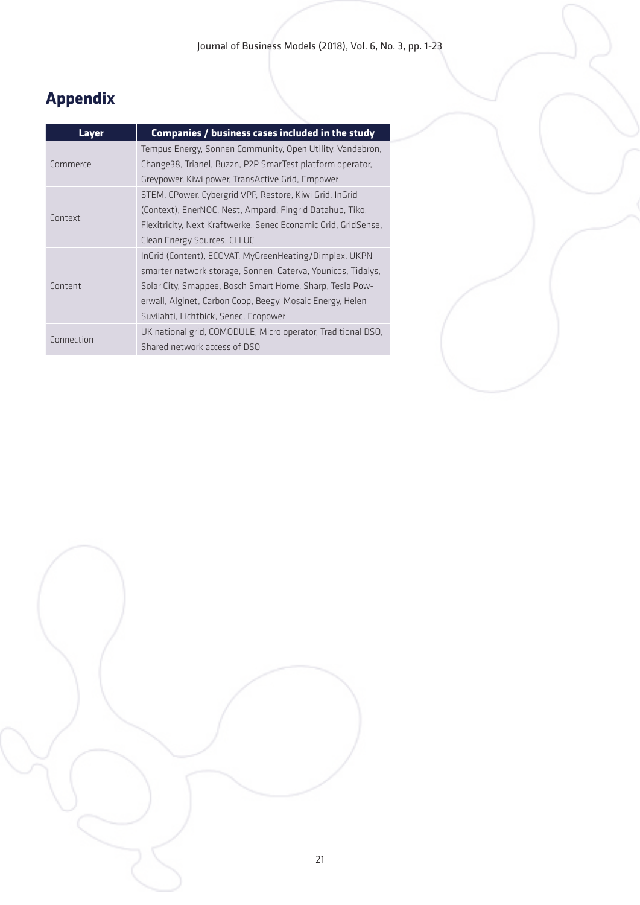# **Appendix**

| Layer      | Companies / business cases included in the study               |
|------------|----------------------------------------------------------------|
|            | Tempus Energy, Sonnen Community, Open Utility, Vandebron,      |
| Commerce   | Change38, Trianel, Buzzn, P2P SmarTest platform operator,      |
|            | Greypower, Kiwi power, TransActive Grid, Empower               |
| Context    | STEM, CPower, Cybergrid VPP, Restore, Kiwi Grid, InGrid        |
|            | (Context), EnerNOC, Nest, Ampard, Fingrid Datahub, Tiko,       |
|            | Flexitricity, Next Kraftwerke, Senec Econamic Grid, GridSense, |
|            | Clean Energy Sources, CLLUC                                    |
|            | InGrid (Content), ECOVAT, MyGreenHeating/Dimplex, UKPN         |
|            | smarter network storage, Sonnen, Caterva, Younicos, Tidalys,   |
| Content    | Solar City, Smappee, Bosch Smart Home, Sharp, Tesla Pow-       |
|            | erwall, Alginet, Carbon Coop, Beegy, Mosaic Energy, Helen      |
|            | Suvilahti, Lichtbick, Senec, Ecopower                          |
| Connection | UK national grid, COMODULE, Micro operator, Traditional DSO,   |
|            | Shared network access of DSO                                   |

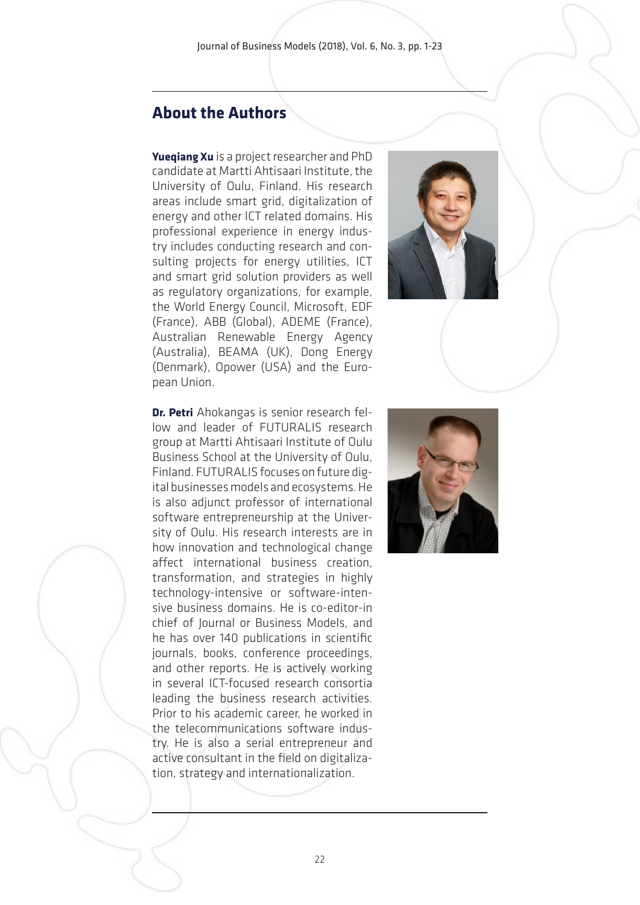# **About the Authors**

**Yueqiang Xu** is a project researcher and PhD candidate at Martti Ahtisaari Institute, the University of Oulu, Finland. His research areas include smart grid, digitalization of energy and other ICT related domains. His professional experience in energy industry includes conducting research and consulting projects for energy utilities, ICT and smart grid solution providers as well as regulatory organizations, for example, the World Energy Council, Microsoft, EDF (France), ABB (Global), ADEME (France), Australian Renewable Energy Agency (Australia), BEAMA (UK), Dong Energy (Denmark), Opower (USA) and the European Union.



**Dr. Petri** Ahokangas is senior research fellow and leader of FUTURALIS research group at Martti Ahtisaari Institute of Oulu Business School at the University of Oulu, Finland. FUTURALIS focuses on future digital businesses models and ecosystems. He is also adjunct professor of international software entrepreneurship at the University of Oulu. His research interests are in how innovation and technological change affect international business creation, transformation, and strategies in highly technology-intensive or software-intensive business domains. He is co-editor-in chief of Journal or Business Models, and he has over 140 publications in scientific journals, books, conference proceedings, and other reports. He is actively working in several ICT-focused research consortia leading the business research activities. Prior to his academic career, he worked in the telecommunications software industry. He is also a serial entrepreneur and active consultant in the field on digitalization, strategy and internationalization.